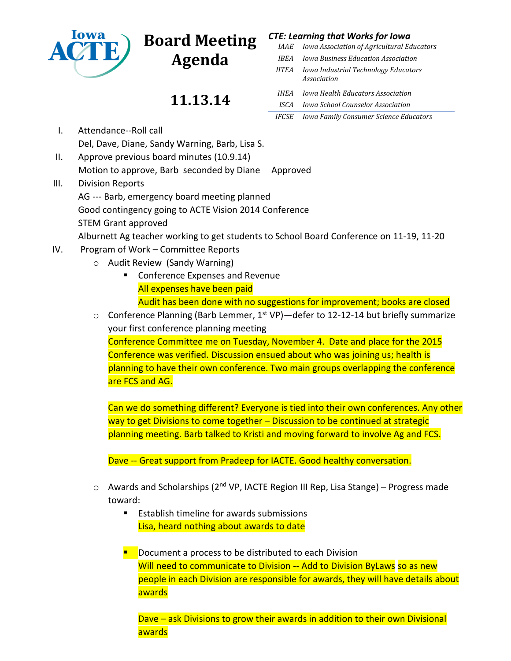

## **Board Meeting**

**Agenda**

## **11.13.14**

| CTE: Learning that Works for Iowa |  |  |  |  |
|-----------------------------------|--|--|--|--|
|-----------------------------------|--|--|--|--|

| <i>IAAE</i>        | Iowa Association of Agricultural Educators                 |
|--------------------|------------------------------------------------------------|
| IREA               | Iowa Business Education Association                        |
| <b>IITEA</b>       | Iowa Industrial Technology Educators<br><b>Association</b> |
| <i><b>IHEA</b></i> | Iowa Health Educators Association                          |
| ISCA               | Iowa School Counselor Association                          |
| <b>IFCSE</b>       | Iowa Family Consumer Science Educators                     |

- I. Attendance--Roll call Del, Dave, Diane, Sandy Warning, Barb, Lisa S.
- II. Approve previous board minutes (10.9.14) Motion to approve, Barb seconded by Diane Approved
- III. Division Reports

AG --- Barb, emergency board meeting planned Good contingency going to ACTE Vision 2014 Conference STEM Grant approved

Alburnett Ag teacher working to get students to School Board Conference on 11-19, 11-20

- IV. Program of Work Committee Reports
	- o Audit Review (Sandy Warning)
		- **EXPENSES EXPENSES AND REVENUE** All expenses have been paid Audit has been done with no suggestions for improvement; books are closed
	- $\circ$  Conference Planning (Barb Lemmer, 1<sup>st</sup> VP)—defer to 12-12-14 but briefly summarize your first conference planning meeting

Conference Committee me on Tuesday, November 4. Date and place for the 2015 Conference was verified. Discussion ensued about who was joining us; health is planning to have their own conference. Two main groups overlapping the conference are FCS and AG.

Can we do something different? Everyone is tied into their own conferences. Any other way to get Divisions to come together – Discussion to be continued at strategic planning meeting. Barb talked to Kristi and moving forward to involve Ag and FCS.

Dave -- Great support from Pradeep for IACTE. Good healthy conversation.

- o Awards and Scholarships (2<sup>nd</sup> VP, IACTE Region III Rep, Lisa Stange) Progress made toward:
	- Establish timeline for awards submissions Lisa, heard nothing about awards to date
	- Document a process to be distributed to each Division Will need to communicate to Division -- Add to Division ByLaws so as new people in each Division are responsible for awards, they will have details about awards

Dave – ask Divisions to grow their awards in addition to their own Divisional awards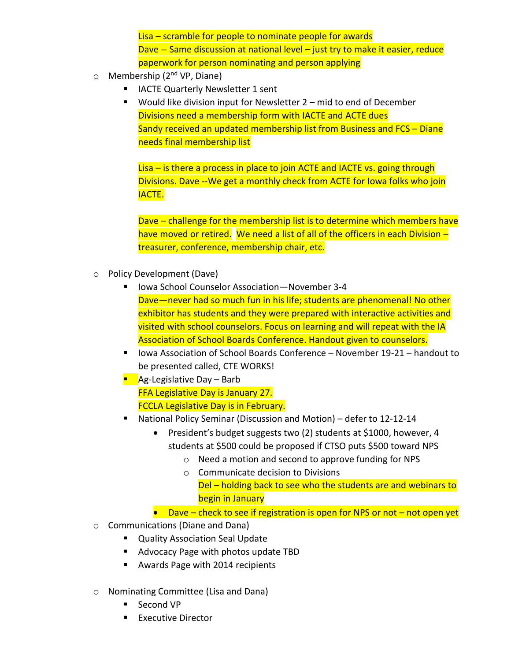Lisa – scramble for people to nominate people for awards Dave -- Same discussion at national level - just try to make it easier, reduce paperwork for person nominating and person applying

- o Membership (2<sup>nd</sup> VP, Diane)
	- IACTE Quarterly Newsletter 1 sent
	- Would like division input for Newsletter 2 mid to end of December Divisions need a membership form with IACTE and ACTE dues Sandy received an updated membership list from Business and FCS – Diane needs final membership list

Lisa – is there a process in place to join ACTE and IACTE vs. going through Divisions. Dave --We get a monthly check from ACTE for Iowa folks who join IACTE.

Dave – challenge for the membership list is to determine which members have have moved or retired. We need a list of all of the officers in each Division treasurer, conference, membership chair, etc.

- o Policy Development (Dave)
	- Iowa School Counselor Association—November 3-4 Dave—never had so much fun in his life; students are phenomenal! No other exhibitor has students and they were prepared with interactive activities and visited with school counselors. Focus on learning and will repeat with the IA Association of School Boards Conference. Handout given to counselors.
	- Iowa Association of School Boards Conference November 19-21 handout to be presented called, CTE WORKS!
	- $\blacksquare$  Ag-Legislative Day Barb FFA Legislative Day is January 27. FCCLA Legislative Day is in February.
	- National Policy Seminar (Discussion and Motion) defer to 12-12-14
		- President's budget suggests two (2) students at \$1000, however, 4 students at \$500 could be proposed if CTSO puts \$500 toward NPS
			- o Need a motion and second to approve funding for NPS
			- o Communicate decision to Divisions Del – holding back to see who the students are and webinars to begin in January
		- $\bullet$  Dave check to see if registration is open for NPS or not not open yet
- o Communications (Diane and Dana)
	- **Quality Association Seal Update**
	- Advocacy Page with photos update TBD
	- **Awards Page with 2014 recipients**
- o Nominating Committee (Lisa and Dana)
	- Second VP
	- **Executive Director**